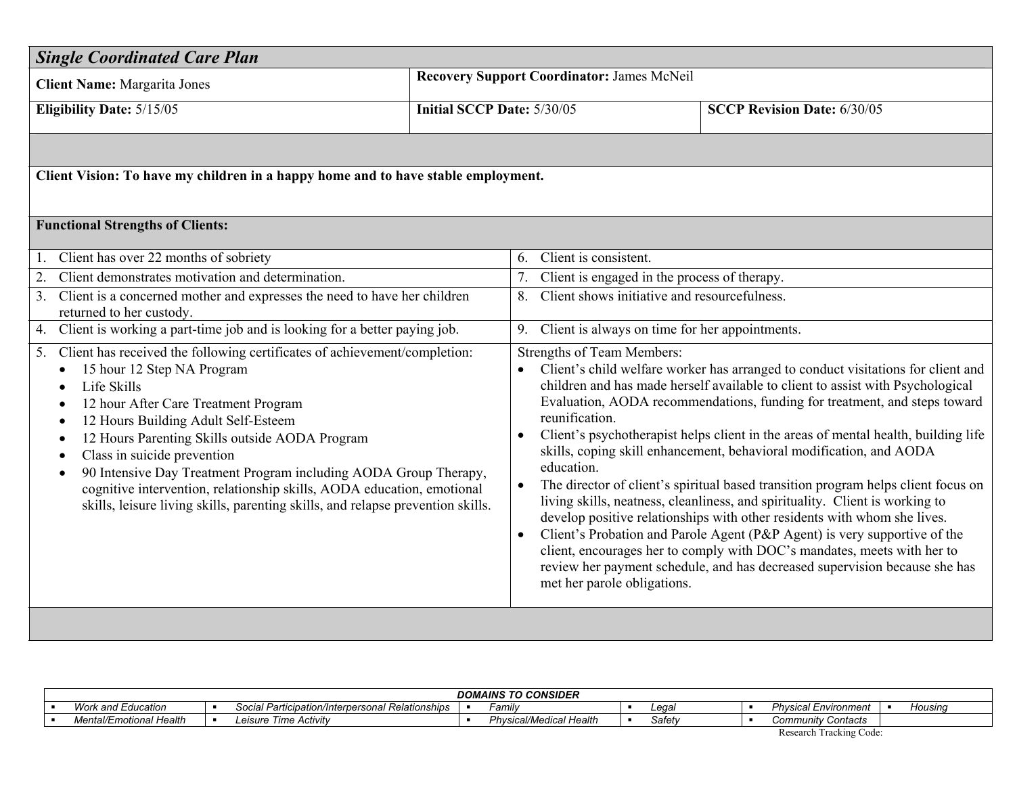| <b>Recovery Support Coordinator: James McNeil</b><br><b>Client Name: Margarita Jones</b><br><b>Eligibility Date: 5/15/05</b><br><b>Initial SCCP Date: 5/30/05</b><br><b>SCCP Revision Date: 6/30/05</b><br>Client Vision: To have my children in a happy home and to have stable employment.<br><b>Functional Strengths of Clients:</b><br>Client has over 22 months of sobriety<br>Client is consistent.<br>1.<br>6.<br>Client demonstrates motivation and determination.<br>2.<br>Client is engaged in the process of therapy.<br>7.<br>Client shows initiative and resourcefulness.<br>Client is a concerned mother and expresses the need to have her children<br>3.<br>8.<br>returned to her custody.<br>Client is working a part-time job and is looking for a better paying job.<br>4.<br>9.<br>Client is always on time for her appointments.<br>Client has received the following certificates of achievement/completion:<br><b>Strengths of Team Members:</b><br>5.<br>15 hour 12 Step NA Program<br>Client's child welfare worker has arranged to conduct visitations for client and<br>children and has made herself available to client to assist with Psychological<br>Life Skills<br>Evaluation, AODA recommendations, funding for treatment, and steps toward<br>12 hour After Care Treatment Program<br>reunification.<br>12 Hours Building Adult Self-Esteem<br>Client's psychotherapist helps client in the areas of mental health, building life<br>12 Hours Parenting Skills outside AODA Program<br>$\bullet$<br>skills, coping skill enhancement, behavioral modification, and AODA | <b>Single Coordinated Care Plan</b>      |  |  |  |  |  |  |
|------------------------------------------------------------------------------------------------------------------------------------------------------------------------------------------------------------------------------------------------------------------------------------------------------------------------------------------------------------------------------------------------------------------------------------------------------------------------------------------------------------------------------------------------------------------------------------------------------------------------------------------------------------------------------------------------------------------------------------------------------------------------------------------------------------------------------------------------------------------------------------------------------------------------------------------------------------------------------------------------------------------------------------------------------------------------------------------------------------------------------------------------------------------------------------------------------------------------------------------------------------------------------------------------------------------------------------------------------------------------------------------------------------------------------------------------------------------------------------------------------------------------------------------------------------------------------------------------------------|------------------------------------------|--|--|--|--|--|--|
|                                                                                                                                                                                                                                                                                                                                                                                                                                                                                                                                                                                                                                                                                                                                                                                                                                                                                                                                                                                                                                                                                                                                                                                                                                                                                                                                                                                                                                                                                                                                                                                                            |                                          |  |  |  |  |  |  |
|                                                                                                                                                                                                                                                                                                                                                                                                                                                                                                                                                                                                                                                                                                                                                                                                                                                                                                                                                                                                                                                                                                                                                                                                                                                                                                                                                                                                                                                                                                                                                                                                            |                                          |  |  |  |  |  |  |
|                                                                                                                                                                                                                                                                                                                                                                                                                                                                                                                                                                                                                                                                                                                                                                                                                                                                                                                                                                                                                                                                                                                                                                                                                                                                                                                                                                                                                                                                                                                                                                                                            |                                          |  |  |  |  |  |  |
|                                                                                                                                                                                                                                                                                                                                                                                                                                                                                                                                                                                                                                                                                                                                                                                                                                                                                                                                                                                                                                                                                                                                                                                                                                                                                                                                                                                                                                                                                                                                                                                                            |                                          |  |  |  |  |  |  |
|                                                                                                                                                                                                                                                                                                                                                                                                                                                                                                                                                                                                                                                                                                                                                                                                                                                                                                                                                                                                                                                                                                                                                                                                                                                                                                                                                                                                                                                                                                                                                                                                            |                                          |  |  |  |  |  |  |
|                                                                                                                                                                                                                                                                                                                                                                                                                                                                                                                                                                                                                                                                                                                                                                                                                                                                                                                                                                                                                                                                                                                                                                                                                                                                                                                                                                                                                                                                                                                                                                                                            |                                          |  |  |  |  |  |  |
|                                                                                                                                                                                                                                                                                                                                                                                                                                                                                                                                                                                                                                                                                                                                                                                                                                                                                                                                                                                                                                                                                                                                                                                                                                                                                                                                                                                                                                                                                                                                                                                                            |                                          |  |  |  |  |  |  |
|                                                                                                                                                                                                                                                                                                                                                                                                                                                                                                                                                                                                                                                                                                                                                                                                                                                                                                                                                                                                                                                                                                                                                                                                                                                                                                                                                                                                                                                                                                                                                                                                            |                                          |  |  |  |  |  |  |
|                                                                                                                                                                                                                                                                                                                                                                                                                                                                                                                                                                                                                                                                                                                                                                                                                                                                                                                                                                                                                                                                                                                                                                                                                                                                                                                                                                                                                                                                                                                                                                                                            |                                          |  |  |  |  |  |  |
| education.<br>90 Intensive Day Treatment Program including AODA Group Therapy,<br>$\bullet$<br>The director of client's spiritual based transition program helps client focus on<br>$\bullet$<br>cognitive intervention, relationship skills, AODA education, emotional<br>living skills, neatness, cleanliness, and spirituality. Client is working to<br>skills, leisure living skills, parenting skills, and relapse prevention skills.<br>develop positive relationships with other residents with whom she lives.<br>Client's Probation and Parole Agent (P&P Agent) is very supportive of the<br>$\bullet$<br>client, encourages her to comply with DOC's mandates, meets with her to<br>review her payment schedule, and has decreased supervision because she has<br>met her parole obligations.                                                                                                                                                                                                                                                                                                                                                                                                                                                                                                                                                                                                                                                                                                                                                                                                   | Class in suicide prevention<br>$\bullet$ |  |  |  |  |  |  |

| <b>DOMAINS TO CONSIDER</b>                        |  |                                                                                                    |   |                                                     |  |                           |  |                                      |  |         |
|---------------------------------------------------|--|----------------------------------------------------------------------------------------------------|---|-----------------------------------------------------|--|---------------------------|--|--------------------------------------|--|---------|
| 14/2r<br>work and Education                       |  | Participation/Interpersonal Relationships_<br>seral Darticination<br>$\ddot{\phantom{0}}$<br>20Cid | × | Famil∖                                              |  | Legal                     |  | Physical<br>Environment              |  | Housing |
| $\cdot$ $\cdot$<br>Mental/Emotional H<br>l Health |  | - Time<br>Activity<br>eisure<br>LUJ<br>11 <del>.</del>                                             |   | vsical/Medical<br>Phvs.<br>۱۵۵۱۴۲<br><i>I</i> calli |  | $Cof$ otu<br><b>Salet</b> |  | Community C<br><sup>,</sup> Contacts |  |         |
|                                                   |  |                                                                                                    |   |                                                     |  |                           |  | --                                   |  |         |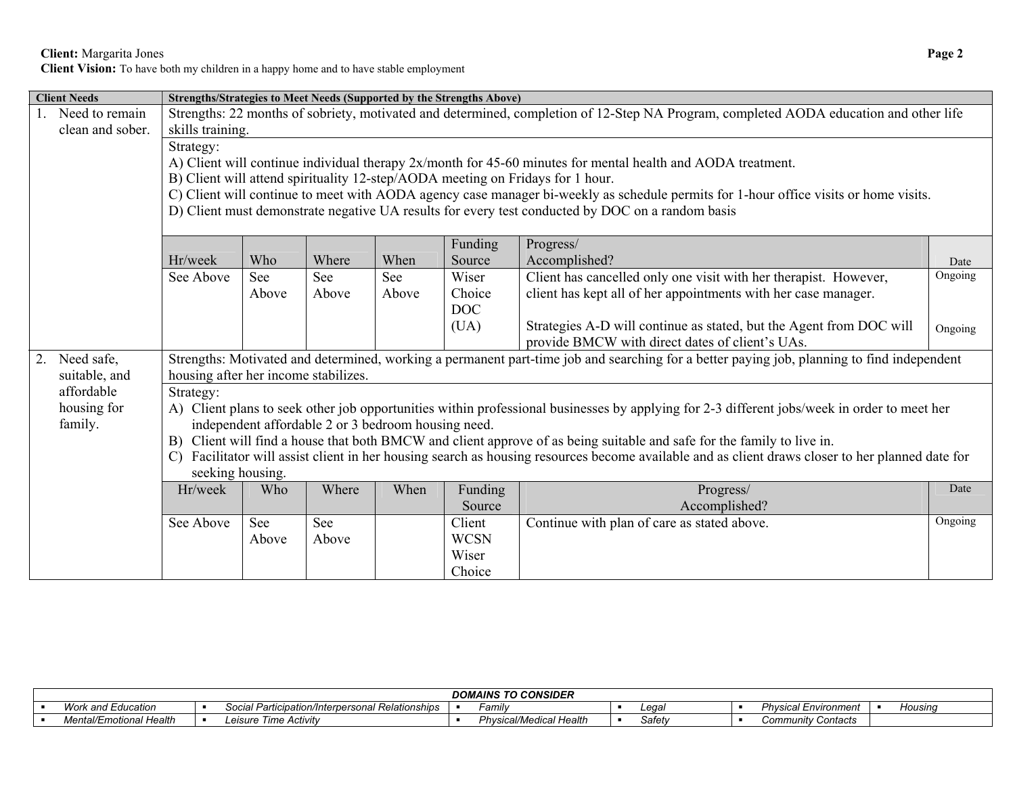**Client:** Margarita Jones **Page 2** 

**Client Vision:** To have both my children in a happy home and to have stable employment

|                                                 | <b>Client Needs</b> |                                      |       |                                                     |       | Strengths/Strategies to Meet Needs (Supported by the Strengths Above) |                                                                                                                                               |         |
|-------------------------------------------------|---------------------|--------------------------------------|-------|-----------------------------------------------------|-------|-----------------------------------------------------------------------|-----------------------------------------------------------------------------------------------------------------------------------------------|---------|
|                                                 | Need to remain      |                                      |       |                                                     |       |                                                                       | Strengths: 22 months of sobriety, motivated and determined, completion of 12-Step NA Program, completed AODA education and other life         |         |
|                                                 | clean and sober.    | skills training.                     |       |                                                     |       |                                                                       |                                                                                                                                               |         |
|                                                 |                     | Strategy:                            |       |                                                     |       |                                                                       |                                                                                                                                               |         |
|                                                 |                     |                                      |       |                                                     |       |                                                                       | A) Client will continue individual therapy 2x/month for 45-60 minutes for mental health and AODA treatment.                                   |         |
|                                                 |                     |                                      |       |                                                     |       |                                                                       | B) Client will attend spirituality 12-step/AODA meeting on Fridays for 1 hour.                                                                |         |
|                                                 |                     |                                      |       |                                                     |       |                                                                       | C) Client will continue to meet with AODA agency case manager bi-weekly as schedule permits for 1-hour office visits or home visits.          |         |
|                                                 |                     |                                      |       |                                                     |       |                                                                       | D) Client must demonstrate negative UA results for every test conducted by DOC on a random basis                                              |         |
|                                                 |                     |                                      |       |                                                     |       |                                                                       |                                                                                                                                               |         |
|                                                 |                     |                                      |       |                                                     |       | Funding                                                               | Progress/                                                                                                                                     |         |
|                                                 |                     | Hr/week                              | Who   | Where                                               | When  | Source                                                                | Accomplished?                                                                                                                                 | Date    |
|                                                 |                     | See Above                            | See   | See                                                 | See   | Wiser                                                                 | Client has cancelled only one visit with her therapist. However,                                                                              | Ongoing |
|                                                 |                     |                                      | Above | Above                                               | Above | Choice                                                                | client has kept all of her appointments with her case manager.                                                                                |         |
|                                                 |                     |                                      |       |                                                     |       | DOC                                                                   |                                                                                                                                               |         |
|                                                 |                     |                                      |       |                                                     |       | (UA)                                                                  | Strategies A-D will continue as stated, but the Agent from DOC will                                                                           | Ongoing |
| provide BMCW with direct dates of client's UAs. |                     |                                      |       |                                                     |       |                                                                       |                                                                                                                                               |         |
| 2.                                              | Need safe,          |                                      |       |                                                     |       |                                                                       | Strengths: Motivated and determined, working a permanent part-time job and searching for a better paying job, planning to find independent    |         |
|                                                 | suitable, and       | housing after her income stabilizes. |       |                                                     |       |                                                                       |                                                                                                                                               |         |
|                                                 | affordable          | Strategy:                            |       |                                                     |       |                                                                       |                                                                                                                                               |         |
|                                                 | housing for         |                                      |       |                                                     |       |                                                                       | A) Client plans to seek other job opportunities within professional businesses by applying for 2-3 different jobs/week in order to meet her   |         |
|                                                 | family.             |                                      |       | independent affordable 2 or 3 bedroom housing need. |       |                                                                       |                                                                                                                                               |         |
|                                                 |                     |                                      |       |                                                     |       |                                                                       | B) Client will find a house that both BMCW and client approve of as being suitable and safe for the family to live in.                        |         |
|                                                 |                     | $\mathcal{C}$                        |       |                                                     |       |                                                                       | Facilitator will assist client in her housing search as housing resources become available and as client draws closer to her planned date for |         |
|                                                 |                     | seeking housing.                     |       |                                                     |       |                                                                       |                                                                                                                                               |         |
|                                                 |                     | Hr/week                              | Who   | Where                                               | When  | Funding                                                               | Progress/                                                                                                                                     | Date    |
|                                                 |                     |                                      |       |                                                     |       | Source                                                                | Accomplished?                                                                                                                                 |         |
|                                                 |                     | See Above                            | See   | See                                                 |       | Client                                                                | Continue with plan of care as stated above.                                                                                                   | Ongoing |
|                                                 |                     |                                      | Above | Above                                               |       | <b>WCSN</b>                                                           |                                                                                                                                               |         |
|                                                 |                     |                                      |       |                                                     |       | Wiser                                                                 |                                                                                                                                               |         |
|                                                 |                     |                                      |       |                                                     |       | Choice                                                                |                                                                                                                                               |         |

| <b>DOMAINS TO CONSIDER</b>                                  |  |                                                     |  |                                  |  |                 |  |                              |  |         |
|-------------------------------------------------------------|--|-----------------------------------------------------|--|----------------------------------|--|-----------------|--|------------------------------|--|---------|
| <b>Work</b><br>`Education<br>and :                          |  | Participation/Interpersonal<br><b>Relationships</b> |  | Family                           |  | $\sim$<br>.cud/ |  | ுcal Environment<br>Physica' |  | Housinq |
| .<br>.<br>$\cdot$ $\cdot$<br>ntal/Emotional Health<br>ו v ו |  | Fime Activitv<br>Leısure                            |  | hvsical/Medical<br>つんぃ<br>Health |  | Safety          |  | <b>Community Contacts</b>    |  |         |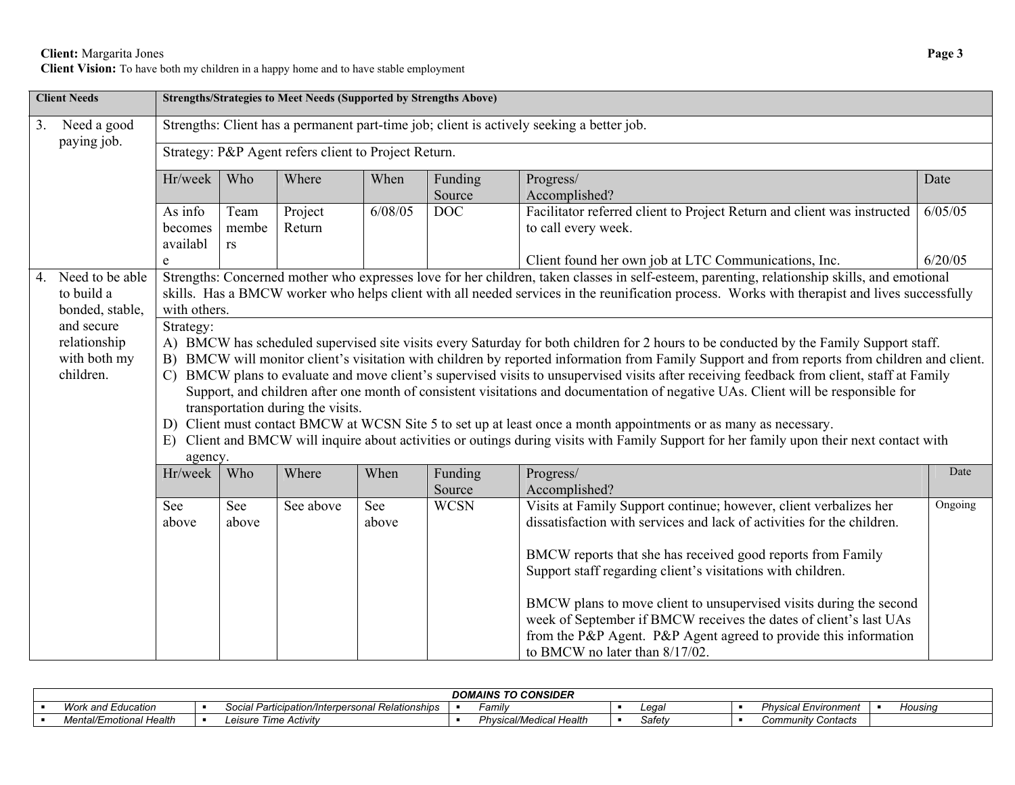## **Client:** Margarita Jones **Page 3**

**Client Vision:** To have both my children in a happy home and to have stable employment

|    | <b>Client Needs</b>                                               | <b>Strengths/Strategies to Meet Needs (Supported by Strengths Above)</b>                                                                                                                                                                                                                                                                                                                                                                                                                                                                                                                                                                                                                                                                                                                                                                                                                                 |                                                                                                                                                                                                                                                                                                               |                                                      |              |                   |                                                                                                                                                                                                                                                                                                                                                                                                                                                                                                                            |         |  |  |  |  |  |  |  |
|----|-------------------------------------------------------------------|----------------------------------------------------------------------------------------------------------------------------------------------------------------------------------------------------------------------------------------------------------------------------------------------------------------------------------------------------------------------------------------------------------------------------------------------------------------------------------------------------------------------------------------------------------------------------------------------------------------------------------------------------------------------------------------------------------------------------------------------------------------------------------------------------------------------------------------------------------------------------------------------------------|---------------------------------------------------------------------------------------------------------------------------------------------------------------------------------------------------------------------------------------------------------------------------------------------------------------|------------------------------------------------------|--------------|-------------------|----------------------------------------------------------------------------------------------------------------------------------------------------------------------------------------------------------------------------------------------------------------------------------------------------------------------------------------------------------------------------------------------------------------------------------------------------------------------------------------------------------------------------|---------|--|--|--|--|--|--|--|
| 3. | Need a good                                                       |                                                                                                                                                                                                                                                                                                                                                                                                                                                                                                                                                                                                                                                                                                                                                                                                                                                                                                          |                                                                                                                                                                                                                                                                                                               |                                                      |              |                   | Strengths: Client has a permanent part-time job; client is actively seeking a better job.                                                                                                                                                                                                                                                                                                                                                                                                                                  |         |  |  |  |  |  |  |  |
|    | paying job.                                                       |                                                                                                                                                                                                                                                                                                                                                                                                                                                                                                                                                                                                                                                                                                                                                                                                                                                                                                          |                                                                                                                                                                                                                                                                                                               | Strategy: P&P Agent refers client to Project Return. |              |                   |                                                                                                                                                                                                                                                                                                                                                                                                                                                                                                                            |         |  |  |  |  |  |  |  |
|    |                                                                   | Hr/week                                                                                                                                                                                                                                                                                                                                                                                                                                                                                                                                                                                                                                                                                                                                                                                                                                                                                                  | Who                                                                                                                                                                                                                                                                                                           | Where                                                | When         | Funding<br>Source | Progress/<br>Accomplished?                                                                                                                                                                                                                                                                                                                                                                                                                                                                                                 | Date    |  |  |  |  |  |  |  |
|    |                                                                   | As info<br>becomes<br>availabl                                                                                                                                                                                                                                                                                                                                                                                                                                                                                                                                                                                                                                                                                                                                                                                                                                                                           | Team<br>membe<br><b>rs</b>                                                                                                                                                                                                                                                                                    | Project<br>Return                                    | 6/08/05      | <b>DOC</b>        | Facilitator referred client to Project Return and client was instructed<br>to call every week.                                                                                                                                                                                                                                                                                                                                                                                                                             | 6/05/05 |  |  |  |  |  |  |  |
|    |                                                                   | e                                                                                                                                                                                                                                                                                                                                                                                                                                                                                                                                                                                                                                                                                                                                                                                                                                                                                                        |                                                                                                                                                                                                                                                                                                               |                                                      |              |                   | Client found her own job at LTC Communications, Inc.                                                                                                                                                                                                                                                                                                                                                                                                                                                                       | 6/20/05 |  |  |  |  |  |  |  |
|    | 4. Need to be able<br>to build a<br>bonded, stable,<br>and secure |                                                                                                                                                                                                                                                                                                                                                                                                                                                                                                                                                                                                                                                                                                                                                                                                                                                                                                          | Strengths: Concerned mother who expresses love for her children, taken classes in self-esteem, parenting, relationship skills, and emotional<br>skills. Has a BMCW worker who helps client with all needed services in the reunification process. Works with therapist and lives successfully<br>with others. |                                                      |              |                   |                                                                                                                                                                                                                                                                                                                                                                                                                                                                                                                            |         |  |  |  |  |  |  |  |
|    | relationship<br>with both my<br>children.                         | Strategy:<br>A) BMCW has scheduled supervised site visits every Saturday for both children for 2 hours to be conducted by the Family Support staff.<br>B) BMCW will monitor client's visitation with children by reported information from Family Support and from reports from children and client.<br>C) BMCW plans to evaluate and move client's supervised visits to unsupervised visits after receiving feedback from client, staff at Family<br>Support, and children after one month of consistent visitations and documentation of negative UAs. Client will be responsible for<br>transportation during the visits.<br>D) Client must contact BMCW at WCSN Site 5 to set up at least once a month appointments or as many as necessary.<br>E) Client and BMCW will inquire about activities or outings during visits with Family Support for her family upon their next contact with<br>agency. |                                                                                                                                                                                                                                                                                                               |                                                      |              |                   |                                                                                                                                                                                                                                                                                                                                                                                                                                                                                                                            |         |  |  |  |  |  |  |  |
|    |                                                                   | Hr/week                                                                                                                                                                                                                                                                                                                                                                                                                                                                                                                                                                                                                                                                                                                                                                                                                                                                                                  | Who                                                                                                                                                                                                                                                                                                           | Where                                                | When         | Funding<br>Source | Progress/<br>Accomplished?                                                                                                                                                                                                                                                                                                                                                                                                                                                                                                 | Date    |  |  |  |  |  |  |  |
|    |                                                                   | See<br>above                                                                                                                                                                                                                                                                                                                                                                                                                                                                                                                                                                                                                                                                                                                                                                                                                                                                                             | See<br>above                                                                                                                                                                                                                                                                                                  | See above                                            | See<br>above | <b>WCSN</b>       | Visits at Family Support continue; however, client verbalizes her<br>dissatisfaction with services and lack of activities for the children.<br>BMCW reports that she has received good reports from Family<br>Support staff regarding client's visitations with children.<br>BMCW plans to move client to unsupervised visits during the second<br>week of September if BMCW receives the dates of client's last UAs<br>from the P&P Agent. P&P Agent agreed to provide this information<br>to BMCW no later than 8/17/02. | Ongoing |  |  |  |  |  |  |  |

| <b>DOMAINS TO CONSIDER</b>           |  |                                                              |  |                                                |  |        |  |                             |  |         |
|--------------------------------------|--|--------------------------------------------------------------|--|------------------------------------------------|--|--------|--|-----------------------------|--|---------|
| Work and Education                   |  | . Relationships<br>I Participation/Interpersonal F<br>Social |  | ∃amilv                                         |  | ∟eqa'  |  | <b>Physical Environment</b> |  | Housina |
| <b>Mental/Emotional Health</b><br>wc |  | Time Activity<br>_eısure                                     |  | Physica.<br>Health<br>ำ <i>cal/Medical r เ</i> |  | Safetv |  | <b>Community Contacts</b>   |  |         |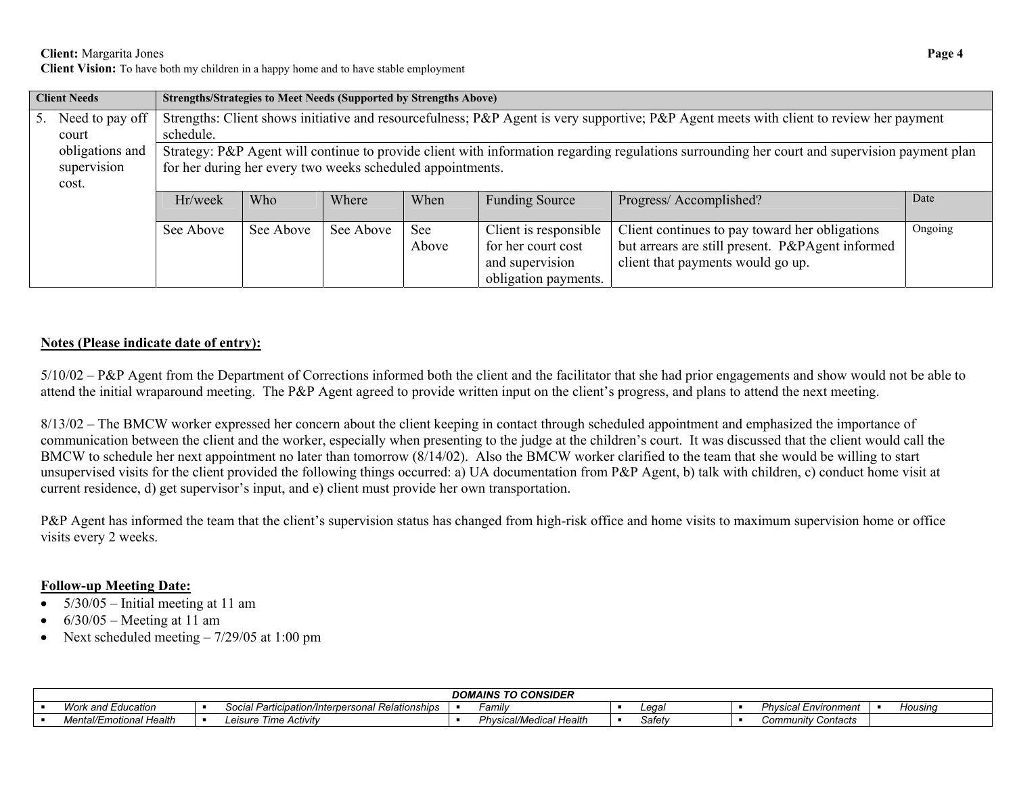**Client:** Margarita Jones **Page 4** 

**Client Vision:** To have both my children in a happy home and to have stable employment

|    | <b>Client Needs</b> | <b>Strengths/Strategies to Meet Needs (Supported by Strengths Above)</b> |           |           |       |                       |                                                                                                                                               |         |  |  |  |  |  |  |
|----|---------------------|--------------------------------------------------------------------------|-----------|-----------|-------|-----------------------|-----------------------------------------------------------------------------------------------------------------------------------------------|---------|--|--|--|--|--|--|
| 5. | Need to pay off     |                                                                          |           |           |       |                       | Strengths: Client shows initiative and resourcefulness; P&P Agent is very supportive; P&P Agent meets with client to review her payment       |         |  |  |  |  |  |  |
|    | court               | schedule.                                                                |           |           |       |                       |                                                                                                                                               |         |  |  |  |  |  |  |
|    | obligations and     |                                                                          |           |           |       |                       | Strategy: P&P Agent will continue to provide client with information regarding regulations surrounding her court and supervision payment plan |         |  |  |  |  |  |  |
|    | supervision         | for her during her every two weeks scheduled appointments.               |           |           |       |                       |                                                                                                                                               |         |  |  |  |  |  |  |
|    | cost.               |                                                                          |           |           |       |                       |                                                                                                                                               |         |  |  |  |  |  |  |
|    |                     | Hr/week                                                                  | Who       | Where     | When  | <b>Funding Source</b> | Progress/Accomplished?                                                                                                                        | Date    |  |  |  |  |  |  |
|    |                     | See Above                                                                | See Above | See Above | See   | Client is responsible | Client continues to pay toward her obligations                                                                                                | Ongoing |  |  |  |  |  |  |
|    |                     |                                                                          |           |           | Above | for her court cost    | but arrears are still present. P&PAgent informed                                                                                              |         |  |  |  |  |  |  |
|    |                     |                                                                          |           |           |       | and supervision       | client that payments would go up.                                                                                                             |         |  |  |  |  |  |  |
|    |                     |                                                                          |           |           |       | obligation payments.  |                                                                                                                                               |         |  |  |  |  |  |  |

## **Notes (Please indicate date of entry):**

5/10/02 – P&P Agent from the Department of Corrections informed both the client and the facilitator that she had prior engagements and show would not be able to attend the initial wraparound meeting. The P&P Agent agreed to provide written input on the client's progress, and plans to attend the next meeting.

8/13/02 – The BMCW worker expressed her concern about the client keeping in contact through scheduled appointment and emphasized the importance of communication between the client and the worker, especially when presenting to the judge at the children's court. It was discussed that the client would call the BMCW to schedule her next appointment no later than tomorrow (8/14/02). Also the BMCW worker clarified to the team that she would be willing to start unsupervised visits for the client provided the following things occurred: a) UA documentation from P&P Agent, b) talk with children, c) conduct home visit at current residence, d) get supervisor's input, and e) client must provide her own transportation.

P&P Agent has informed the team that the client's supervision status has changed from high-risk office and home visits to maximum supervision home or office visits every 2 weeks.

## **Follow-up Meeting Date:**

- $5/30/05$  Initial meeting at 11 am
- 6/30/05 Meeting at 11 am
- Next scheduled meeting  $-7/29/05$  at 1:00 pm

| <b>DOMAINS TO CONSIDER</b> |  |                                                       |  |                            |  |        |  |                             |  |         |
|----------------------------|--|-------------------------------------------------------|--|----------------------------|--|--------|--|-----------------------------|--|---------|
| Work and Education         |  | Social<br>l Participation/Interpersonal Relationships |  | ∃amilv                     |  | ∟eaə′  |  | <b>Physical Environment</b> |  | Housina |
| Mental/Emotional<br>Health |  | Time<br>Activity<br>eısure.                           |  | Physical/Medical<br>Health |  | Safetv |  | <b>Community Contacts</b>   |  |         |